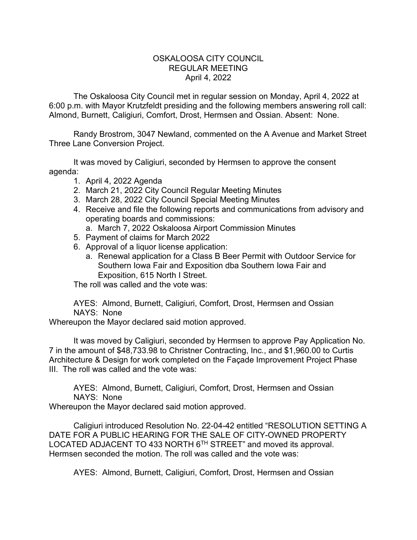## OSKALOOSA CITY COUNCIL REGULAR MEETING April 4, 2022

The Oskaloosa City Council met in regular session on Monday, April 4, 2022 at 6:00 p.m. with Mayor Krutzfeldt presiding and the following members answering roll call: Almond, Burnett, Caligiuri, Comfort, Drost, Hermsen and Ossian. Absent: None.

Randy Brostrom, 3047 Newland, commented on the A Avenue and Market Street Three Lane Conversion Project.

It was moved by Caligiuri, seconded by Hermsen to approve the consent agenda:

- 1. April 4, 2022 Agenda
- 2. March 21, 2022 City Council Regular Meeting Minutes
- 3. March 28, 2022 City Council Special Meeting Minutes
- 4. Receive and file the following reports and communications from advisory and operating boards and commissions:
	- a. March 7, 2022 Oskaloosa Airport Commission Minutes
- 5. Payment of claims for March 2022
- 6. Approval of a liquor license application:
	- a. Renewal application for a Class B Beer Permit with Outdoor Service for Southern Iowa Fair and Exposition dba Southern Iowa Fair and Exposition, 615 North I Street.

The roll was called and the vote was:

AYES: Almond, Burnett, Caligiuri, Comfort, Drost, Hermsen and Ossian NAYS: None

Whereupon the Mayor declared said motion approved.

It was moved by Caligiuri, seconded by Hermsen to approve Pay Application No. 7 in the amount of \$48,733.98 to Christner Contracting, Inc., and \$1,960.00 to Curtis Architecture & Design for work completed on the Façade Improvement Project Phase III. The roll was called and the vote was:

AYES: Almond, Burnett, Caligiuri, Comfort, Drost, Hermsen and Ossian NAYS: None

Whereupon the Mayor declared said motion approved.

Caligiuri introduced Resolution No. 22-04-42 entitled "RESOLUTION SETTING A DATE FOR A PUBLIC HEARING FOR THE SALE OF CITY-OWNED PROPERTY LOCATED ADJACENT TO 433 NORTH 6TH STREET" and moved its approval. Hermsen seconded the motion. The roll was called and the vote was:

AYES: Almond, Burnett, Caligiuri, Comfort, Drost, Hermsen and Ossian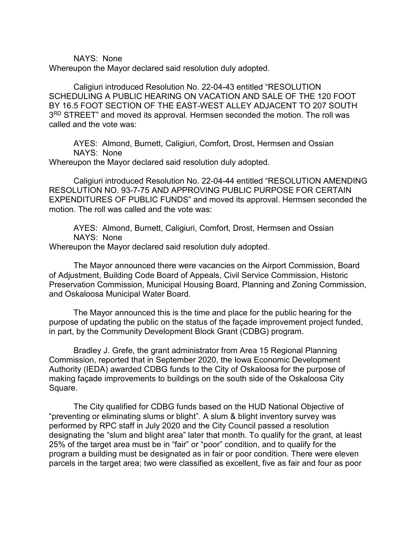NAYS: None

Whereupon the Mayor declared said resolution duly adopted.

Caligiuri introduced Resolution No. 22-04-43 entitled "RESOLUTION SCHEDULING A PUBLIC HEARING ON VACATION AND SALE OF THE 120 FOOT BY 16.5 FOOT SECTION OF THE EAST-WEST ALLEY ADJACENT TO 207 SOUTH 3RD STREET" and moved its approval. Hermsen seconded the motion. The roll was called and the vote was:

AYES: Almond, Burnett, Caligiuri, Comfort, Drost, Hermsen and Ossian NAYS: None

Whereupon the Mayor declared said resolution duly adopted.

Caligiuri introduced Resolution No. 22-04-44 entitled "RESOLUTION AMENDING RESOLUTION NO. 93-7-75 AND APPROVING PUBLIC PURPOSE FOR CERTAIN EXPENDITURES OF PUBLIC FUNDS" and moved its approval. Hermsen seconded the motion. The roll was called and the vote was:

AYES: Almond, Burnett, Caligiuri, Comfort, Drost, Hermsen and Ossian NAYS: None

Whereupon the Mayor declared said resolution duly adopted.

The Mayor announced there were vacancies on the Airport Commission, Board of Adjustment, Building Code Board of Appeals, Civil Service Commission, Historic Preservation Commission, Municipal Housing Board, Planning and Zoning Commission, and Oskaloosa Municipal Water Board.

The Mayor announced this is the time and place for the public hearing for the purpose of updating the public on the status of the façade improvement project funded, in part, by the Community Development Block Grant (CDBG) program.

Bradley J. Grefe, the grant administrator from Area 15 Regional Planning Commission, reported that in September 2020, the Iowa Economic Development Authority (IEDA) awarded CDBG funds to the City of Oskaloosa for the purpose of making façade improvements to buildings on the south side of the Oskaloosa City Square.

The City qualified for CDBG funds based on the HUD National Objective of "preventing or eliminating slums or blight". A slum & blight inventory survey was performed by RPC staff in July 2020 and the City Council passed a resolution designating the "slum and blight area" later that month. To qualify for the grant, at least 25% of the target area must be in "fair" or "poor" condition, and to qualify for the program a building must be designated as in fair or poor condition. There were eleven parcels in the target area; two were classified as excellent, five as fair and four as poor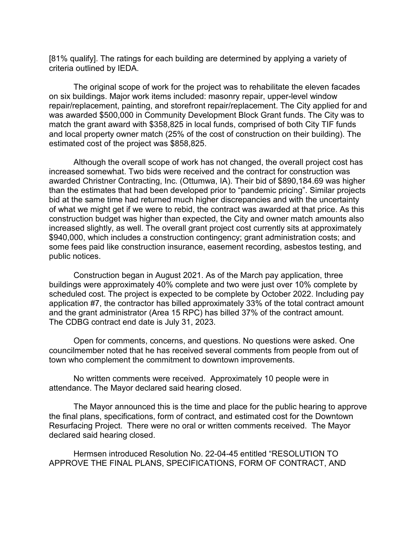[81% qualify]. The ratings for each building are determined by applying a variety of criteria outlined by IEDA.

The original scope of work for the project was to rehabilitate the eleven facades on six buildings. Major work items included: masonry repair, upper-level window repair/replacement, painting, and storefront repair/replacement. The City applied for and was awarded \$500,000 in Community Development Block Grant funds. The City was to match the grant award with \$358,825 in local funds, comprised of both City TIF funds and local property owner match (25% of the cost of construction on their building). The estimated cost of the project was \$858,825.

Although the overall scope of work has not changed, the overall project cost has increased somewhat. Two bids were received and the contract for construction was awarded Christner Contracting, Inc. (Ottumwa, IA). Their bid of \$890,184.69 was higher than the estimates that had been developed prior to "pandemic pricing". Similar projects bid at the same time had returned much higher discrepancies and with the uncertainty of what we might get if we were to rebid, the contract was awarded at that price. As this construction budget was higher than expected, the City and owner match amounts also increased slightly, as well. The overall grant project cost currently sits at approximately \$940,000, which includes a construction contingency; grant administration costs; and some fees paid like construction insurance, easement recording, asbestos testing, and public notices.

Construction began in August 2021. As of the March pay application, three buildings were approximately 40% complete and two were just over 10% complete by scheduled cost. The project is expected to be complete by October 2022. Including pay application #7, the contractor has billed approximately 33% of the total contract amount and the grant administrator (Area 15 RPC) has billed 37% of the contract amount. The CDBG contract end date is July 31, 2023.

Open for comments, concerns, and questions. No questions were asked. One councilmember noted that he has received several comments from people from out of town who complement the commitment to downtown improvements.

No written comments were received. Approximately 10 people were in attendance. The Mayor declared said hearing closed.

The Mayor announced this is the time and place for the public hearing to approve the final plans, specifications, form of contract, and estimated cost for the Downtown Resurfacing Project. There were no oral or written comments received. The Mayor declared said hearing closed.

Hermsen introduced Resolution No. 22-04-45 entitled "RESOLUTION TO APPROVE THE FINAL PLANS, SPECIFICATIONS, FORM OF CONTRACT, AND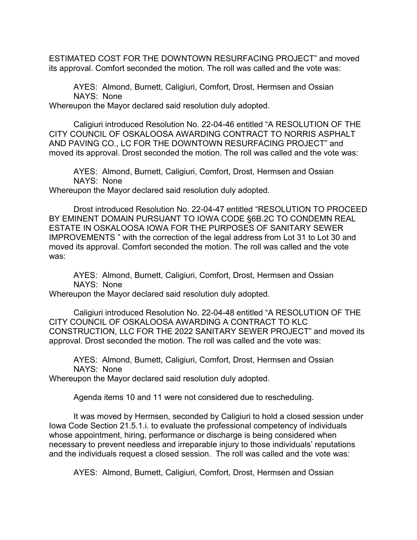ESTIMATED COST FOR THE DOWNTOWN RESURFACING PROJECT" and moved its approval. Comfort seconded the motion. The roll was called and the vote was:

AYES: Almond, Burnett, Caligiuri, Comfort, Drost, Hermsen and Ossian NAYS: None

Whereupon the Mayor declared said resolution duly adopted.

Caligiuri introduced Resolution No. 22-04-46 entitled "A RESOLUTION OF THE CITY COUNCIL OF OSKALOOSA AWARDING CONTRACT TO NORRIS ASPHALT AND PAVING CO., LC FOR THE DOWNTOWN RESURFACING PROJECT" and moved its approval. Drost seconded the motion. The roll was called and the vote was:

AYES: Almond, Burnett, Caligiuri, Comfort, Drost, Hermsen and Ossian NAYS: None

Whereupon the Mayor declared said resolution duly adopted.

Drost introduced Resolution No. 22-04-47 entitled "RESOLUTION TO PROCEED BY EMINENT DOMAIN PURSUANT TO IOWA CODE §6B.2C TO CONDEMN REAL ESTATE IN OSKALOOSA IOWA FOR THE PURPOSES OF SANITARY SEWER IMPROVEMENTS " with the correction of the legal address from Lot 31 to Lot 30 and moved its approval. Comfort seconded the motion. The roll was called and the vote was:

AYES: Almond, Burnett, Caligiuri, Comfort, Drost, Hermsen and Ossian NAYS: None

Whereupon the Mayor declared said resolution duly adopted.

Caligiuri introduced Resolution No. 22-04-48 entitled "A RESOLUTION OF THE CITY COUNCIL OF OSKALOOSA AWARDING A CONTRACT TO KLC CONSTRUCTION, LLC FOR THE 2022 SANITARY SEWER PROJECT" and moved its approval. Drost seconded the motion. The roll was called and the vote was:

AYES: Almond, Burnett, Caligiuri, Comfort, Drost, Hermsen and Ossian NAYS: None

Whereupon the Mayor declared said resolution duly adopted.

Agenda items 10 and 11 were not considered due to rescheduling.

It was moved by Hermsen, seconded by Caligiuri to hold a closed session under Iowa Code Section 21.5.1.i. to evaluate the professional competency of individuals whose appointment, hiring, performance or discharge is being considered when necessary to prevent needless and irreparable injury to those individuals' reputations and the individuals request a closed session. The roll was called and the vote was:

AYES: Almond, Burnett, Caligiuri, Comfort, Drost, Hermsen and Ossian